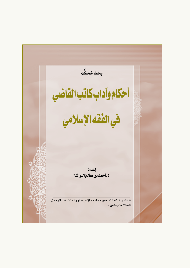بحث مُحكَّم أحكام وآداب كاتب القاضي فيالفقهالإسلامي إعداد: د.أحمدبن صالح البراك\* \* عضو هيئة التدريس بجامعة الأميرة نورة بنت عبد الرحمن للبنات بالرياض .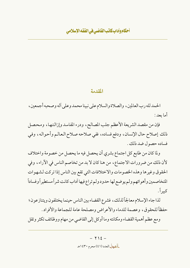#### المقدمة

الحمدلله رب العالمين، والصلاة والسلام على نبينا محمد وعلى أله وصحبه أجمعين، أما ىعد :

فإن من مقصد الشريعة الأعظم جلب المصالح، ودرء المفاسد وإزالتها، ومحصل ذلك إصلاح حال الإنسان، ودفع فساده، ففي صلاحه صلاح العالم وأحواله، وفي فساده حصول ضد ذلك.

ولما كان من طابع كل اجتماع بشري أن يحصل فيه ما يحصل من خصومة واختلاف لأن ذلك من ضرورات الاجتماع، من هنا كان لا بد من تخاصم الناس في الآراء، وفي الحقوق وغيرها وهذه الخصومات والاختلافات التي تقع بين الناس إذا تركت لشهوات المتخاصمين وأهوائهم ولم يوضع لها حدود ولم تراع فيها آداب كانت شرأ مستطيرأ وفسادأ كبيراً.

لذا جاء الإسلام معالجاً لذلك، فشرع القضاء بين الناس حينما يختلفون ويتنازعون؛ حفظاً للحقوق، وعصمة للدماء والأعراض ومصلحة عامة للجماعة والأفراد .

ومع عظم أهمية القضاء ومكانته وما أوكل إلى القاضي من مهام ووظائف تكثر وتقل

 $-712-$ العط العدد (٤١) محرم ١٤٣٠هـ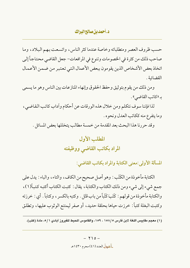حسب ظروف العصر ومتطلباته وخاصة عندما كثر الناس، واتسعت بهم البلاد، وما صاحب ذلك من كثرة في الخصومات وتنوع في المرافعات- جعل القاضي محتاجاً إلى اتخاذ بعض الأشخاص الذين يقومون ببعض الأعمال التبي تعتبر من ضمن الأعمال القضائية .

ومن ذلك من يقوم بتوثيق وحفظ الحقوق وإنهاء المنازعات بين الناس وهو ما يسمى به «كاتب القاضي» .

لذا فإننا سوف نتكلم ومن خلال هذه الورقات عن أحكام وآداب كاتب القاضي ، وما يتفرع منه ككاتب العدل ونحوه .

وقد حررنا هذا البحث بعد المقدمة من خمسة مطالب يتخللها بعض المسائل .

# المطلب الأول المراد بكاتب القاضى ووظيفته

المسألة الأولى:معنى الكتابة والمراد بكاتب القاضي:

الكتابة مأخوذة من الكتْب : وهو أصل صحيح من الكاف، والتاء، والباء : يدل على جمع شيء إلى شيء ومن ذلك الكتاب والكتابة ، يقال : كتبت الكتاب أكتبه كتباً(١)، والكتابة مأخو ذة من قولهم : كَتَبَ كَتْباً من باب قتَل . وكتبه بالكسر ، وكتاباً . أي : خرزته وكتبت البغلة كتباً: خرزت حياها بحلقة حديد، أو صفر ليمتنع الوثوب عليها، وتطلق

(١) معجم مقاييس اللغة لابن فارس ١٥٨/٥ ، ١٥٩، والقاموس المحيط للفيروز آبادي ١/٥، مادة (كتب).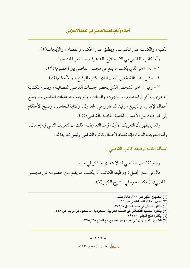الكتبة، والكتاب على المكتوب. ويطلق على الحكم، والقضاء، والإيجاب(٢). وأما كاتب القاضي في الاصطلاح فقد عرف بعدة تعريفات منها : ١ - أنه : «هو الذي يكتب ما يقع في مجلس القاضي بين الخصوم»(٣) . ٢ - وقيل إنه : «الشخص العدل الذي يكتب الوقائع ، والأحكام»(٤) . ٣ - وقيل : «هو الشخص الذي يحضر جلسات القاضي القضائية ، ويقوم بكتابة الدعوي، وأقوال الخصوم، والشهود، والبينات، وتوجيه استدعاءات الحضور، وجميع أعمال الإنذار ، والتبليغ ، وقيد الدعاوي في الجداول ، وكتابة المحاضر ، ونسخ الأحكام إلى غير ذلك من الأعمال المكتبية الخاصة بالقاضي»(٥) .

والذي يظهر بأن التعريف الأول أقرب التعاريف؛ ذلك أن التعريف الثاني فيه إجمال ، وأما التعريف الثالث فإنه تعداد لأعمال كاتب القاضي وليس تعريفاً له .

المسألة الثانية:وظيفة كاتب القاضي:

ووظيفة كاتب القاضي قد لا تتعدى ما ذكر في حده . قال في منح الجليل : ووظيفة الكاتب أن يكتب ما يقع من خصومة في مجلس القاضي (٦) وكذا نحوه في الشرح الكبير (٧) .

 $\cdot$  {  $\cdot$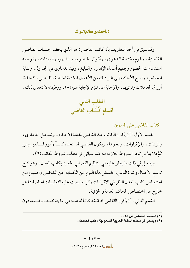وقد سبق في أحد التعاريف بأن كاتب القاضي : هو الذي يحضر جلسات القاضي القضائية، ويقوم بكتابة الدعوى، وأقوال الخصوم، والشهود والبينات، وتوجيه استدعاءات الحضور وجميع أعمال الإنذار ، والتبليغ ، وقيد الدعاوي في الجداول ، وكتابة المحاضر ، ونسخ الأحكام إلى غير ذلك من الأعمال المكتبية الخاصة بالقاضي ، كحفظ أوراق المعاملات وترتيبها ، والإجابة عما تلزم الإجابة عليه(٨) . ووظيفته لا تتعدى ذلك .

> المطلب الثاني أقسام كُتَّـاب القاضي

> > كتاب القاضي على قسمين:

القسم الأول : أن يكون الكاتب عند القاضي لكتابة الأحكام، وتسجيل الدعاوي، والبينات، والإقرارات، ونحوها، ويكون القاضي قد اتخذه كاتباً لأمور المسلمين ومن ثَمَّ فلا بدَّ من توفر الشروط اللازمة فيه كما سيأتي في مطلب شروط الكاتب(٩) .

ويدخل في ذلك ما يطلق عليه في التنظيم القضائي الجديد بكاتب العدل، وهو نتاج توسع الأعمال وكثرة الناس، فاستقل هذا النوع من الكتابة عن القاضي وأصبح من اختصاص كاتب العدل النظر في الإقرارات وكل ما نصت عليه التعليمات الخاصة مما هو خارج عن اختصاص المحاكم العامة والجزئية .

القسم الثاني : أن يكون القاضي قد اتخذ كاتباً له عنده في حاجة نفسه ، وضيعته دون

<sup>(</sup>٨) التنظيم القضائي ص ٢٨ ٤٠.

<sup>(</sup> ٩) ويسمى في محاكم الملكة العربية السعودية «كاتب الضبط».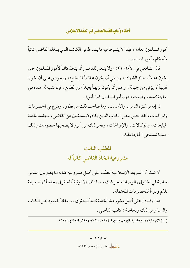أمور المسلمين العامة ، فهذا لا يشترط فيه ما يشترط في الكاتب الذي يتخذه القاضي كاتباً لأحكام وأمور المسلمين.

قال الشافعي في الأم(١٠) : «ولا ينبغي للقاضي أن يتخذ كاتباً لأمور المسلمين حتى يكون عدلاً، جائز الشهادة، وينبغي أن يكون عاقلاً لا يخدع، ويحرص على أن يكون فقيهاً لا يؤتى من جهالة ، وعلى أن يكون نزيهاً بعيداً عن الطمع . فإن كتب له عنده في حاجة نفسه، وضيعته، دون أمر المسلمين فلا بأس».

ثم إنه من كثرة الناس، والأعمال، وما صاحب ذلك من تطور ، وتنوع في الخصومات والمر افعات، فقد خص بعض الكتاب الذين يكادون مستقلين عن القاضي ومجلسه لكتابة المبايعات، والوكالات، والإفراغات، ونحو ذلك من أمور لا يصحبها خصومات وذلك حينما تستدعى الحاجة ذلك .

> المطلب الثالث مشروعية اتخاذ القاضي كاتباً له

لا شك أن الشريعة الإسلامية نصّت على أصل مشروعية كتابة ما يقع بين الناس خاصة في الحقوق والوصايا ونحو ذلك، وما ذلك إلا تو ثيقاً للحقوق وحفظاً لها وصيانة للذم ودرءاً للخصومات المحتملة .

هذا وقد دل على أصل مشر وعية الكتابة تثبيتاً للحقوق، وحفظاً للعهو د نص الكتاب والسنة ومن ذلك وبخاصة : كاتب القاضي .

.<br>(١٠) الأم ٢١٦/٦، وحاشبة قلبوبي وعمبرة ٣٠١/ ٣٠١، ٣٠٢، ومغنى المحتاج ٢٨٢/٦.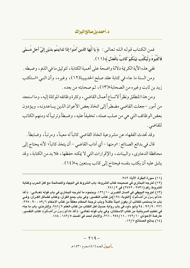فمن الكتاب قوله الله تعالى : ﴿ يَا أَيُّهَا الذينَ آمَنُوا إِذَا تَدَايَنتُم بدَيْنِ إِلَىٓ أَجَلٍ مُّسَمًّى فَاكْتُبُوهُ وَلْيَكْتُب بَّيْنَكُمْ كَاتبٌ بِالْعَدْلِ ﴾(١١) .

ففي هذه الآية الكريمة دلالة واضحة على أهمية الكتابة ، لتوثيق ما في الذم ، وضبطه . ومن السنة ما جاء في كتابة عقد صلح الحديبية(١٢)، وغيره، وأن النبي «استكتب زيد بن ثابت وغيره من الصحابة»(١٣)، ثم صحابته من بعده .

ومن هذا المنطلق ونظراً لاتساع أعمال القاضيي ، وكثرة وظائفه الموكلة إليه ، وما استجد من أمور –جعلت القاضي مضطراً إلى اتخاذ بعض الأعوان الذين يساعدونه، ويؤدون بعض الوظائف التي هي من صلب عمله ، تخفيفاً عليه ، وضبطاً وترتيباً له ومنهم الكاتب للقاضي .

وقد تحدث الفقهاء عن مشروعية اتخاذ القاضي كاتباً له معيناً، ومرتباً، وضابطاً.

قال في بدائع الصنائع : «ومنها – أي آداب القاضي – أن يتخذ كاتباً؛ لأنه يحتاج إلى محافظة الدعاوي، والبينات، والإقرارات التي لا يمكنه حفظها، فلا بد من الكتابة، وقد يشق عليه أن يكتب بنفسه فيحتاج إلى كاتب يستعين به»(١٤).

(١١) سورة البقرة، الآية: ٢٨٢. (١٢) أخرجه البخاري في صحيحه كتاب الشروط: باب الشروط في الجهاد والمصالحة مع أهل الحرب وكتابة الشروط رقم ( ۲۷۳۱ ، ۲۷۷۲ ) في ۲۸۱/۲. (١٣) أخرجه البيهقي في السنن الكبـري ١٢٦/١٠، وبنحوه ما أخرجه البخاري في باب قوله تعــالـي: ﴿ لَقَدْ جَاءَكمْ رَسولٌ مّنْ أَنفسكمْ ﴾ [التوبة: ١٢٨]من كتاب التفسير، وفي باب جمع القرآن، وكتاب فضائل القـرآن، وفـي باب ما يستحَب للكاتب أن يكون أميناً عاقــلاً وباب ترجمة الحكام معلقاً من كتاب الأحكام ٦ / ٨٩ ، ٢٢٠ ، ٢٢٥، ٢٢٦ ، ٩٢/٩ ، ٩٤ وأبو داود في باب رواية حديث أهل الكتاب من كتاب العلم ٢ /٦٨٦، والترمذي، باب ما جاء في تعليم السريانية من كتاب الاستئذان، وفي باب قوله تعالـي: ﴿ لَقَدَّ جَاءَكِمَ رَسول من أَنْفسكمَ ﴾ كتاب التفسير، عارضة الأحوذي ١٧٢/١٠ ، ٢١/ ٢٥٨ ، ٢٦١، والإمام أحمد في المسند ١٨٢/ ، ١٨٤. (١٤) بدائع الصنائع ١٢/٧.

> $- Y \setminus 9 \frac{1}{2}$ اهط العدد (٤١) محرم ١٤٣٠هـ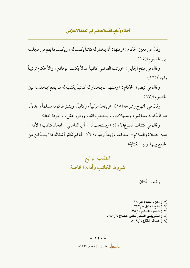وقال في معين الحكام : «ومنها : أن يختار له كاتباً يكتب له ، ويكتب ما يقع في مجلسه بين الخصوم»(١٥).

وقال في منح الجليل : «ورتب القاضي كاتباً عدلاً يكتب الوقائع ، والأحكام ترتيباً واحياً»(١٦).

وقال في تبصرة الحكام : «ومنها أن يختار له كاتباً يكتب له ما يقع بمجلسه بين الخصوم»(١٧).

وقال في المنهاج وشرحه(١٨) : «ويتخذ مزكياً، وكاتباً، ويشترط كونه مسلماً، عدلاً، عارفاً بكتابة محاضر ، وسجلات، ويستحب فقه، ووفور عقلٍ، وجودة خط».

وقال في كشاف القناع(١٩): «ويستحب له – أي القاضي – اتخاذ كاتب؛ لأنه – عليه الصلاة والسلام – استكتب زيداً وغيره؛ لأن الحاكم تكثر أشغاله فلا يتمكن من الجمع بينها وبين الكتابة».

وفيه مسألتان:

(١٥) معين الحكام ص ١٨. (١٦) منح الجليل ٢٩٢/٨. (١٧) تبصرة الحكام ٢٥/١. (١٨) للشربيني المسمى مغني المحتاج ٢٨٢/٦. (١٩) كشاف القناع ٣١٩/٦.

#### $- YY -$

العط العدد (٤١) محرم ١٤٣٠هـ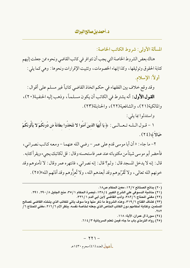المسألة الأولى: شروط الكاتب الخاصة:

هناك بعض الشروط الخاصة التي يجب أن تتوافر في كاتب القاضي ونحوه ممن جعلت إليهم كتابة الحقوق وتوثيقها، وكذا إنهاء الخصومات، وتثبيت الإقرارات ونحوها : وهي كما يلي : أولاً: الإسلام.

وقد وقع خلاف بين الفقهاء في حكم اتخاذ القاضي كاتباً غير مسلم على أقوال :

**القول الأول:** أنه يشترط في الكاتب أن يكون مسلماً، وذهب إليه الحنفية(٢٠)، والمالكية(٢١)، والشافعية(٢٢)، والحنابلة(٢٣).

واستدلوا بما يلي:

١ – قــول الــلــه تــعـــالـــى : ﴿ يَا أَيُّهَا الَّذينَ آمَنُوا لا تَتَّخذُوا بطَانَةً مّن دُونكُمْ لا يَأْلُونَكُمْ خَبَالاً ﴾ (٢٤) .

٢- ما جاء : « أن أبا موسى قدم على عمر - رضي الله عنهما - ومعه كاتب نصراني ، فأحضر أبو موسى شيئاًمن مكتوباته عند عمر فاستحسنه وقال : قل لكاتبك يجيء ويقرأ كتابه . قال : إنه لا يدخل المسجد قال : ولم؟ قال : إنه نصراني، فانتهره عمر وقال : لا تأمنوهم وقد خونهم الله تعالىي، ولا تُقَرِّبوهم وقد أبعدهم الله، ولا تُعزُّوهم وقد أذلهم الله»(٢٥) .

(٢٠) بدائع الصنائع ١٢/٧، معين الحكام ص١٨.

(٢١) حاشية الدسوقي على الشرح الكبير ١٣٨/٤، تبصرة الحكام ٣٥/١، منح الجليل ٢٩٠/ ٢٩٠, ٢٩١.

(٢٢) مغني المحتاج ٣٨٢/٦، وأدب القاضي لابن أبي الدم ٩٢٦/١.

(٢٣) كشاف القناع ٣١٩/٦، وهذه الشروط ما ذكر منها وما سوف يأتي للكاتب الذي يتخذه القاضي لمصالح المسلمين، وكتابة أحكامهم دون الكاتب الخاص الذي جعله لخاصة نفسه. ينظر الأم ٦ /٢١٦، مغني المحتاج ٦ /  $.7<sub>N</sub>$ 

- (٢٤) سورة آل عمران، الآية: ١١٨.
- (٢٥) رواه الترمذي باب ما جاء فيمن تعلم السريانية ٦١٤/٣.

 $- YY1 -$ العط العدد (٤١) محرم ١٤٣٠هـ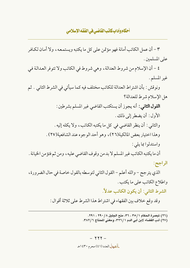٣ – أن عمل الكاتب أمانة فهو مؤتمن على كل ما يكتبه ويستمعه، ولا أمان لكافر على المسلمين .

٤ – أن الإسلام من شروط العدالة، وهي شروط في الكاتب ولا تتوفر العدالة في غير المسلم.

ونوقش : بأن اشتراط العدالة للكاتب مختلف فيه كما سيأتي في الشرط الثاني . ثم هل الإسلام شرط للعدالة؟

**القول الثاني :** أنه يجوز أن يستكتب القاضي غير المسلم بشرطين : الأول: أن يضطر إلى ذلك . والثاني : أن ينظر القاضي في كل ما يكتبه الكاتب، ولا يكله إليه . وهذا اختيار بعض المالكية(٢٦)، وهو أحد الوجوه عند الشافعبة(٢٧) . واستدلوا عا يلي: أن ما يكتبه الكاتب غير المسلم لا بد من وقوف القاضي عليه ، ومن ثم فتؤمن الخيانة .

الراجح:

الذي يترجح – والله أعلم – القول الثاني لتوسطه بالقول خاصة في حال الضرورة، واطلاع الكاتب على ما يكتب .

الشرط الثاني: أن يكون الكاتب عدلاً.

وقد وقع خلاف بين الفقهاء في اشتراط هذا الشرط على ثلاثة أقوال :

(٢٦) تعصرة الحكام ٣٥/١، ٣٥، منح الجليل ٢٩٠/٨، ٢٩١. (٢٧) أدب القضاء لابن أبي الدم ٢ / ٣٢٦، ومغني المحتاج ٣ / ٣٨٢.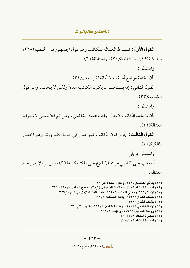القول الأول: تشترط العدالة للكاتب وهو قول الجمهور من الحنفية(٢٨)، والمالكية(٢٩)، والشافعية(٣٠)، والحنابلة(٣١).

واستدلوا :

بأن الكتابة موضع أمانة، ولا أمانة لغير العدل(٣٢).

القول الثاني: إنه يستحب أن يكون الكاتب عدلاً ولكن لا يجب، وهو قول للشافعية(٣٣).

واستدلوا:

بأن ما يكتبه الكاتب لا بد أن يقف عليه القاضي، ومن ثم فلا معنى لاشتراط العدالة (٢٤).

**القول الثالث:** جواز كون الكاتب غير عدل في حالة الضرورة، وهو اختيار المالكية(٣٥).

واستدلوا بما يلي: أنه يجب على القاضي حينئذ الاطلاع على ما كتبه كاتبه(٣٦)، ومن ثم فلا يضر عدم العدالة.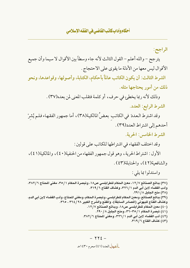الراجح:

يترجح – والله أعلم – القول الثالث لأنه جاء وسطاً بين الأقوال لا سيما وأن جميع الأقوال ليس معها من الأدلة ما يقوى على الاحتجاج .

الشرط الثالث: أن يكون الكاتب عالماً بأحكام، الكتابة، وأصولها، وقواعدها، ونحو ذلك من أمور يحتاجها مثله.

وذلك لأنه ربما يخطئ في حرف، أو كلمة فتقلب المعنى لمن بعده(٣٧) .

الشرط الرابع: العدد.

وقد اشترط العددَ في الكاتب بعضُ المالكية(٣٨)، أما جمهور الفقهاء فلم يُشرْ أحدهم إلى اشتراط العدد(٣٩) .

الشرط الخامس: الحرية.

وقد اختلف الفقهاء في اشتراطها للكاتب على قولين:

الأول: اشتراط الحرية ، وهو قول جمهور الفقهاء من الحنفية(٤٠) ، والمالكية(٤١) ، والشافعية(٤٢)، والحنابلة(٤٣).

واستدلوا بما يلي :

(٣٧) بدائع الصنائع ١٢/٧، معين الحكام للطرابلسي ص١٨، وتبصرة الحكام ٣٥/١، مغني المحتاج ٣٨٢/٦، وأدب القضاء لابن أبي الدم ٢ / ٣٢٦، وكشاف القناع ٣ / ٣١٩. (٣٨) منح الجليل ٢٩١/٨. (٣٩) بدائع الصنائع، ومعين الحكام للطرابلسي، وتبصرة الحكام، ومغنى المحتاج، وأدب القضاء لابن أبي الدم، وكشاف القناع للبهوتي (المصادر السابقة)، والمقنع والشرح الكبير ٢٦٤/ ٣٦٤ ، ٣٦٥. (٤٠) معين الحكام للطرابلسي ص١٨، وبدائع الصنائع ١٢/٧. (٤١) تبصرة الحكام ٢٥/١-٣٦، ومنح الجليل ٢٩٠/٨. (٤٢) أدب القضاء لابن أبي الدم ٢ / ٣٢٦، ومغني المحتاج ٣ / ٣٨٢. (٤٣) كشاف القناع ٣١٩/٦.

 $-1156$ العط العدد (٤١) محرم ١٤٣٠هـ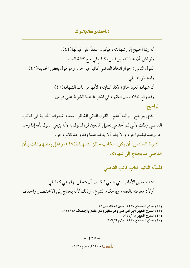أنه ربما احتيج إلى شهادته ، فيكون متفقاً على قبولها(٤٤) . ونوقش بأن هذا التعليل ليس بكاف في منع كتابة العبد . القول الثاني : جواز اتخاذ القاضي كاتباً غير حر ، وهو قول بعض الحنابلة(٤٥) . واستدلوا بما يلي : أن شهادة العبد جائزة فكذا كتابته ؛ لأنها من باب الشهادة(٤٦) . وقد وقع خلاف بين الفقهاء في اشتراط هذا الشرط على قولين .

الراجح:

الذي يترجح – والله أعلم – القول الثاني القائلون بعدم اشتراط الحرية في كاتب القاضي وذلك لأني لم أجد في تعليل المانعين قوة للقول به لأنه ينبغي القول بأنه إذا وجد حر وعبد فيقدم الحر ، والأجدر ألا يتخذ عبداً وقد وجد كاتب حر .

الشرط السادس: أن يكون الكاتب جائز الشــهـادة(٤٧)، وعلل بعضهم ذلك بـأن القاضي قد يحتاج إلى شهادته.

المسألة الثانية: آداب كاتب القاضي:

هناك بعض الأداب التي ينبغي للكاتب أن يتحلى بها وهي كما يلي : أولاً : معرفته بالفقه ، وبأحكام الشرع ، وذلك لأنه يحتاج إلى الاختصار والحذف

(٤٤) بدائع الصنائع ١٢/٧، معين الحكام ص ١٨.

(٤٥) الشرح الكبير لابن أبي عمر وهو مطبوع مع المقنع والإنصاف ٢٦٦/ ٣٦٦.

- (٤٦) الشرح الكبير ٢٨/ ٣٦٦.
- (٤٧) بدائع الصنائع ١٢/٧، والأم ٢١٦/٦.

 $- YY0 -$ العط العدد (٤١) محرم ١٤٣٠هـ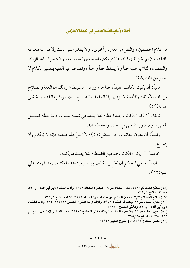من كلام الخصمين، والنقل من لغة إلى أخرى . ولا يقدر على ذلك إلا من له معرفة بالفقه ، فإن لم يكن فقيهاً فإنه ربما كتب كلام الخصمين كما سمعه ، ولا يتصرف فيه بالزيادة والنقصان؛ لئلا يوجب حقاً ولا يسقط حقاً واجباً ، وتصرف غير الفقيه بتفسير الكلام لا يخلو من ذلك(٤٨).

ثانياً: أن يكون الكاتب عفيفاً، صالحاً، ورعاً، مستيقظاً؛ وذلك أن العفة والصلاح من باب الأمانة؛ والأمانة لا يؤديها إلا العفيف الصالح الذي يراقب الله، ويخشى عذابه(٤٩).

ثالثاً: أن يكون الكاتب جيد الخط ؛ لئلا يشتبه في كتابته بسبب رداءة خطه فيحيل المعنى، أو يزاد ويستقصى في عدد، ونحوه(٥٠).

رابعاً: أن يكون الكاتب وافر العقل(٥١)؛ لأن مَنْ هذه صفته فإنه لا يَخْدع ولا

ينخدع . خامساً : أن يكون الكاتب صحيح الضبط ؛ لئلا يفسد ما يكتبه . سادساً : ينبغي للحاكم أن يُجْلس الكاتب بين يديه يشاهد ما يكتبه ، ويشافهه بما يملي علبه(٥٢).

(٤٨) بدائع الصنائع ١٢/٧، معين الحكام ص ١٨، تبصرة الحكام ٢٥/١، وأدب القضاء لابن أبي الدم ٢٣٦/١، وكشاف القناع ٦ / ٣١٩. (٤٩) بدائع الصنائع ١٢/٧، معين الحكام ص ١٨، تبصرة الحكام ٣٥/١، كشاف القناع ٣١٩/٦. (٥٠) معين الحكام ص١٨، وكشاف القنــاع ٣٩/٦، والإقناع مع الشرح الكبيــر ٣٦٤/٢٨-٣٦٥، وأدب القضاء لابن أبي الدم ٦ / ٣٣٦، ومغني المحتاج ٣٨٢/٦. (٥١) معين الحكام ص١٨، وتبصرة الحكــام ٣٥/١، مغني المحتاج ٣٨٢/٦، وأدب القاضي لابن أبي الــدم ١ / ٣٣٦، وكشاف القناع ٢٨ / ٣٦٥. (٥٢) مغني المحتاج ٣٨٢/٦، والشرح الكبير ٣٦٥/٢٨.

العط العدد (٤١) محرم ١٤٣٠هـ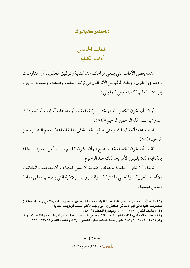المطلب الخامس آداب الكتابة

هناك بعض الأداب التي ينبغي مراعاتها عند كتابة وتوثيق العقود، أو المنازعات ودعاوي الحقوق، وذلك لما لها من الأثر البين في توثيق العقد، وضبطه، وسهولة الرجوع إليه عند الطلب(٥٣)، وهي كما يلي :

أولاً : أن يكون الكتاب الذي يكتب تو ثيقاً لعقد، أو منازعة، أو إنهاء أو نحو ذلك مبدوءً به البسم الله الرحمن الرحيم ا(٤٥٤).

لما جاء عنه «أنه قال للكاتب في صلح الحديبية في بداية المعاهدة : بسم الله الرحمن الرحيم»(٥٥).

ثانياً: أن تكون الكتابة بخط واضح، وأن يكون القلم سليماً من العيوب المخلة بالكتابة؛ لئلا يلتبس الأمر بعد ذلك عند الرجوع.

ثالثاً: أن تكون الكتابة بألفاظ واضحة لا لبس فيها، وأن يتجنب الكاتب الألفاظ الغريبة، والمعاني المشتركة، والضروب البلاغية التي يصعب على عامة الناس فهمها .

(٥٣) هذه الآداب بعضها قد نص عليه عند الفقهاء، وبعضه لم ينص عليه، وإنما اجتهدت في وضعه، وما كان منصوصاً عليه فإنى أبيْن ذلك في الهامش إلا أنى رتبت الآداب حسب أولويات الكتابة. (٥٤) كشاف القناع ٣٦٧/٦، ٣٦٧، وتبصرة الحكام ٢٨٣/١. (٥٥) صحيح البخاري، كتاب الشروط: باب الشروط في الجهاد والمصالحة مع أهل الحرب وكتابة الشــروط، رقم ٢٧٣١ ، ٢٧٧٢ ، ٢٨١/٢، شرح تحفة الحكام ميارة الفاسي ٤٢/١، وكشاف القناع ٣٦٧/٦ ، ٣٦٩.

> $- YYV -$ العط العدد (٤١) محرم ١٤٣٠هـ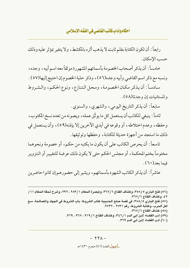رابعاً : أن تكون الكتابة بقلم ثابت لا يذهب أثره بالمكشط، ولا يتغير بمؤثر عليه وذلك حسب الإمكان .

خامساً: أن يذكر أصحاب الخصومة بأسمائهم المشهورة موثقاً معه اسم أبيه ، وجده ، ونسبه مع ذكر اسم القاضي وأبيه وجده(٥٦)، وذكر حلية الخصوم إن احتيج إليها(٥٧) .

سادساً: أن يذكر مكان الخصومة، ومحل التنازع، ونوع الحكم، والشروط والمستثنيات إن و جدتا(٥٨) .

سابعاً: أن يذكر التاريخ اليومي، والشهري، والسنوي.

ثامناً : ينبغي للكاتب أن يستعمل كل ما يو ثّق عمله ، ويصونه من تعدد نسخ المكتوب ، وحفظه، وعدم اختلاطه، أو وقوعه في أيدي الآخرين إلا بإذنه(٥٩)، وأن يستعمل في ذلك ما استجد من أجهزة حديثة للكتابة ، وحفظها وتو ثيقها .

تاسعاً: أن يحرص الكاتب على أن يكون ما يكتبه من حكم، أو خصومة ونحوهما مختوماً بختم المحكمة، أو مجلس الحكم حتى لا يكون ذلك عرضة للتغيير أو التزوير فيما يعد (٦٠).

عاشراً: أن يذكر الكاتب الشهود بأسمائهم، ويشير إلى حضورهم إن كانو ا حاضرين

العط العدد (٤١) محرم ١٤٣٠هـ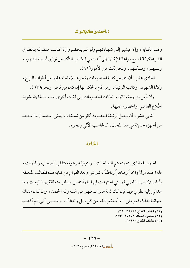وقت الكتابة، وإلا فيشير إلى شهادتهم ولو لم يحضروا إذا كانت منقولة بالطرق الشرعية(٦١)، مع مراعاة الإشارة إلى أنه ينبغي للكاتب التأكد من توثيق أسماء الشهود، ونسبهم، ومسكنهم، ونحو ذلك من الأمور(٦٢).

الحادي عشر : أن يتضمن كتابة الخصومات ونحوها الإمضاء عليها من أطراف النزاع ، وكذا الشهود، وكاتب الوثيقة، ومن قام بالحكم بها إن كان من قاض ونحوه(٦٣) .

ولا بأس بتر جمة وثائق وإثباتات الخصو مات إلى لغات أخرى حسب الحاجة بشر ط اطِّلاع القاضي والخصوم عليها .

الثاني عشر : أن يجعل لوثيقة الخصومة أكثر من نسخة، وينبغي استعمال ما استجد من أجهزة حديثة في هذا المجال، كالحاسب الآلي ونحوه .

#### الخاتمة

الحمد لله الذي بنعمته تتم الصالحات، وبتوفيقه وعونه تتذلل الصعاب والملمات، فله الحمد أولاً وآخراً وظاهراً وباطناً ، ثم إنني وبعد الفراغ من كتابة هذه المطالب المتعلقة بآداب (كاتب القاضي) والتي اجتهدت فيها ما رأيته من مسائل متعلقة بهذا البحث وما هداني إليه نظري فيها فإن كان ثمة صواب فهو من الله وله الحمد، وإن كان هناك مجانبة لذلك فهو مني – وأستغفر الله من كل زلل وخطأ–، وحسبي أني لم أقصد

- (٦١) كشاف القناع ٣٦٨/٦، ٣٦٩.
- (٦٢) تبصرة الحكام ٢٧٢/١. ٢٧٣.
	- (٦٣) كشاف القناع ٣٦٩/٦.

 $- YY9 -$ العط العدد (٤١) محرم ١٤٣٠هـ